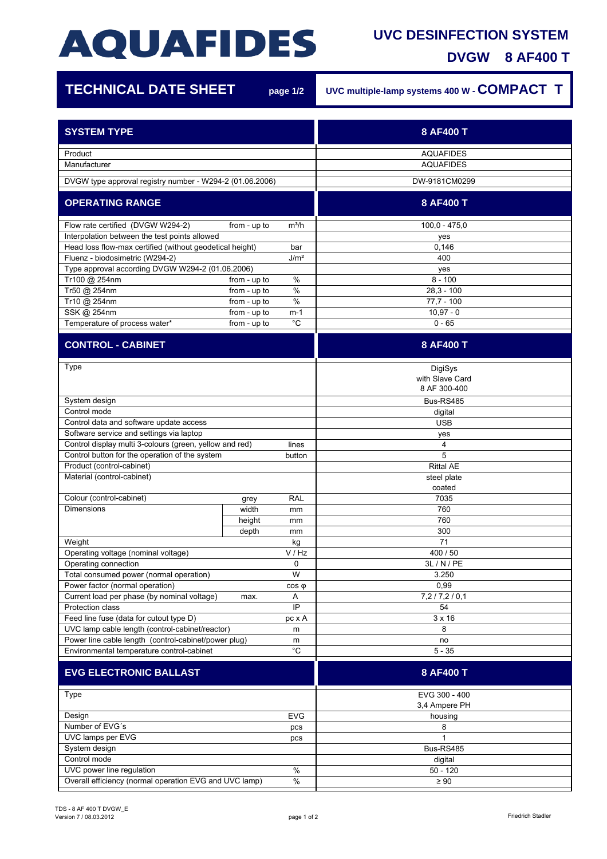## **AQUAFIDES**

## **UVC DESINFECTION SYSTEM**

**DVGW 8 AF400 T**

7

| <b>TECHNICAL DATE SHEET</b>                                     |              | page 1/2     | UVC multiple-lamp systems 400 W - COMPACT T |
|-----------------------------------------------------------------|--------------|--------------|---------------------------------------------|
| <b>SYSTEM TYPE</b>                                              |              |              | 8 AF400 T                                   |
| Product<br>Manufacturer                                         |              |              | <b>AQUAFIDES</b><br><b>AQUAFIDES</b>        |
| DVGW type approval registry number - W294-2 (01.06.2006)        |              |              | DW-9181CM0299                               |
| <b>OPERATING RANGE</b>                                          |              |              | 8 AF400 T                                   |
| Flow rate certified (DVGW W294-2)                               | from - up to | $m^3/h$      | $100,0 - 475,0$                             |
| Interpolation between the test points allowed                   |              |              | yes                                         |
| Head loss flow-max certified (without geodetical height)        |              | bar          | 0,146                                       |
| Fluenz - biodosimetric (W294-2)<br>J/m <sup>2</sup>             |              |              | 400                                         |
| Type approval according DVGW W294-2 (01.06.2006)                |              |              | yes                                         |
| Tr100 @ 254nm                                                   | from - up to | $\%$         | $8 - 100$                                   |
| Tr50 @ 254nm                                                    | from - up to | $\%$         | $28,3 - 100$                                |
| Tr10 @ 254nm                                                    | from - up to | $\%$         | $77,7 - 100$                                |
| SSK @ 254nm                                                     | from - up to | $m-1$        | $10,97 - 0$                                 |
| Temperature of process water*                                   | from - up to | $^{\circ}$ C | $0 - 65$                                    |
| <b>CONTROL - CABINET</b>                                        |              |              | 8 AF400 T                                   |
| Type                                                            |              |              |                                             |
|                                                                 |              |              | DigiSys<br>with Slave Card<br>8 AF 300-400  |
| System design                                                   |              |              | Bus-RS485                                   |
| Control mode                                                    |              |              | digital                                     |
| Control data and software update access                         |              |              | <b>USB</b>                                  |
| Software service and settings via laptop                        |              |              | yes                                         |
| Control display multi 3-colours (green, yellow and red)         |              | lines        | 4                                           |
| Control button for the operation of the system                  |              | button       | 5                                           |
| Product (control-cabinet)                                       |              |              | <b>Rittal AE</b>                            |
| Material (control-cabinet)                                      |              |              | steel plate<br>coated                       |
| Colour (control-cabinet)                                        | grey         | <b>RAL</b>   | 7035                                        |
| <b>Dimensions</b>                                               | width        | mm           | 760                                         |
|                                                                 | height       | mm           | 760                                         |
|                                                                 | depth        | mm           | 300                                         |
| Weight                                                          |              | kg           | 71                                          |
| Operating voltage (nominal voltage)                             |              | V / Hz       | 400 / 50                                    |
| Operating connection                                            |              | 0            | 3L / N / PE                                 |
| Total consumed power (normal operation)                         |              | W            | 3.250                                       |
| Power factor (normal operation)                                 |              | $cos \phi$   | 0,99                                        |
| Current load per phase (by nominal voltage)<br>Protection class | max.         | Α<br>IP      | 7,2/7,2/0,1<br>54                           |
| Feed line fuse (data for cutout type D)                         |              | pc x A       | $3 \times 16$                               |
| UVC lamp cable length (control-cabinet/reactor)                 |              | m            | 8                                           |
| Power line cable length (control-cabinet/power plug)<br>m       |              |              | no                                          |
| Environmental temperature control-cabinet                       |              | $^{\circ}C$  | $5 - 35$                                    |
| <b>EVG ELECTRONIC BALLAST</b>                                   |              |              | 8 AF400 T                                   |
|                                                                 |              |              |                                             |
| Type                                                            |              |              | EVG 300 - 400<br>3,4 Ampere PH              |
| Design                                                          |              | <b>EVG</b>   | housing                                     |
| Number of EVG's                                                 |              | pcs          | 8                                           |
| UVC lamps per EVG                                               |              | pcs          | 1                                           |
| System design                                                   |              |              | Bus-RS485                                   |
| Control mode                                                    |              |              | digital                                     |
| UVC power line regulation<br>$\%$                               |              |              | $50 - 120$                                  |
| Overall efficiency (normal operation EVG and UVC lamp)<br>$\%$  |              |              | $\geq 90$                                   |